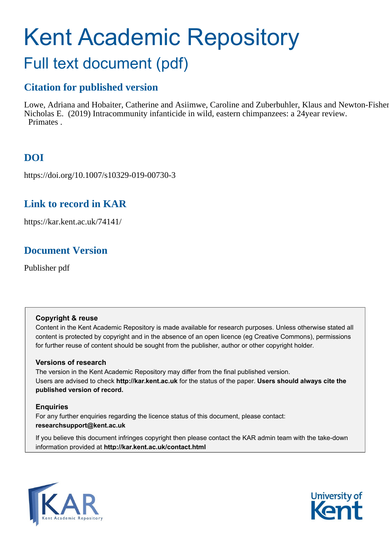# Kent Academic Repository Full text document (pdf)

# **Citation for published version**

Lowe, Adriana and Hobaiter, Catherine and Asiimwe, Caroline and Zuberbuhler, Klaus and Newton-Fisher, Nicholas E. (2019) Intracommunity infanticide in wild, eastern chimpanzees: a 24 year review. Primates .

# **DOI**

https://doi.org/10.1007/s10329-019-00730-3

# **Link to record in KAR**

https://kar.kent.ac.uk/74141/

# **Document Version**

Publisher pdf

# **Copyright & reuse**

Content in the Kent Academic Repository is made available for research purposes. Unless otherwise stated all content is protected by copyright and in the absence of an open licence (eg Creative Commons), permissions for further reuse of content should be sought from the publisher, author or other copyright holder.

# **Versions of research**

The version in the Kent Academic Repository may differ from the final published version. Users are advised to check **http://kar.kent.ac.uk** for the status of the paper. **Users should always cite the published version of record.**

# **Enquiries**

For any further enquiries regarding the licence status of this document, please contact: **researchsupport@kent.ac.uk**

If you believe this document infringes copyright then please contact the KAR admin team with the take-down information provided at **http://kar.kent.ac.uk/contact.html**



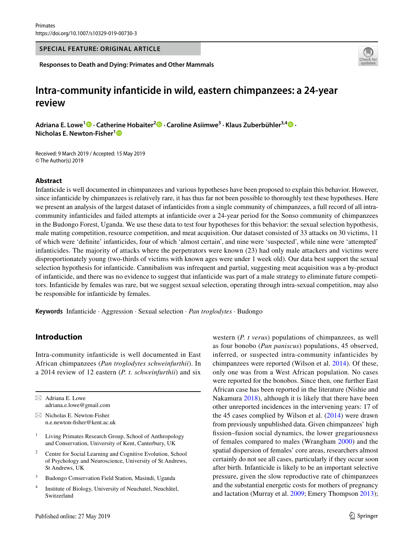#### **SPECIAL FEATURE: ORIGINAL ARTICLE**

**Responses to Death and Dying: Primates and Other Mammals**



# **Intra‑community infanticide in wild, eastern chimpanzees: a 24‑year review**

**Adriana E. Lowe<sup>1</sup> · Catherine Hobaiter2 · Caroline Asiimwe3 · Klaus Zuberbühler3,[4](http://orcid.org/0000-0001-8378-088X) · Nicholas E. Newton‑Fisher[1](http://orcid.org/0000-0002-7657-2641)**

Received: 9 March 2019 / Accepted: 15 May 2019 © The Author(s) 2019

#### **Abstract**

Infanticide is well documented in chimpanzees and various hypotheses have been proposed to explain this behavior. However, since infanticide by chimpanzees is relatively rare, it has thus far not been possible to thoroughly test these hypotheses. Here we present an analysis of the largest dataset of infanticides from a single community of chimpanzees, a full record of all intracommunity infanticides and failed attempts at infanticide over a 24-year period for the Sonso community of chimpanzees in the Budongo Forest, Uganda. We use these data to test four hypotheses for this behavior: the sexual selection hypothesis, male mating competition, resource competition, and meat acquisition. Our dataset consisted of 33 attacks on 30 victims, 11 of which were 'defnite' infanticides, four of which 'almost certain', and nine were 'suspected', while nine were 'attempted' infanticides. The majority of attacks where the perpetrators were known (23) had only male attackers and victims were disproportionately young (two-thirds of victims with known ages were under 1 week old). Our data best support the sexual selection hypothesis for infanticide. Cannibalism was infrequent and partial, suggesting meat acquisition was a by-product of infanticide, and there was no evidence to suggest that infanticide was part of a male strategy to eliminate future competitors. Infanticide by females was rare, but we suggest sexual selection, operating through intra-sexual competition, may also be responsible for infanticide by females.

**Keywords** Infanticide · Aggression · Sexual selection · *Pan troglodytes* · Budongo

## **Introduction**

Intra-community infanticide is well documented in East African chimpanzees (*Pan troglodytes schweinfurthii*). In a 2014 review of 12 eastern (*P. t. schweinfurthii*) and six

 $\boxtimes$  Adriana E. Lowe adriana.e.lowe@gmail.com

 $\boxtimes$  Nicholas E. Newton-Fisher n.e.newton-fsher@kent.ac.uk

- <sup>1</sup> Living Primates Research Group, School of Anthropology and Conservation, University of Kent, Canterbury, UK
- <sup>2</sup> Centre for Social Learning and Cognitive Evolution, School of Psychology and Neuroscience, University of St Andrews, St Andrews, UK
- <sup>3</sup> Budongo Conservation Field Station, Masindi, Uganda
- <sup>4</sup> Institute of Biology, University of Neuchatel, Neuchâtel, Switzerland

western (*P. t verus*) populations of chimpanzees, as well as four bonobo (*Pan paniscus*) populations, 45 observed, inferred, or suspected intra-community infanticides by chimpanzees were reported (Wilson et al. 2014). Of these, only one was from a West African population. No cases were reported for the bonobos. Since then, one further East African case has been reported in the literature (Nishie and Nakamura 2018), although it is likely that there have been other unreported incidences in the intervening years: 17 of the 45 cases complied by Wilson et al.  $(2014)$  were drawn from previously unpublished data. Given chimpanzees' high fssion–fusion social dynamics, the lower gregariousness of females compared to males (Wrangham 2000) and the spatial dispersion of females' core areas, researchers almost certainly do not see all cases, particularly if they occur soon after birth. Infanticide is likely to be an important selective pressure, given the slow reproductive rate of chimpanzees and the substantial energetic costs for mothers of pregnancy and lactation (Murray et al. 2009; Emery Thompson 2013);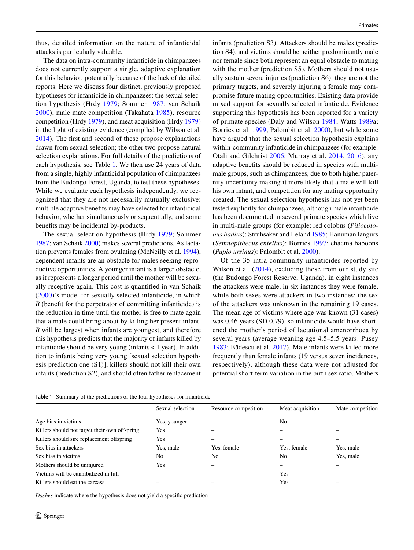thus, detailed information on the nature of infanticidal attacks is particularly valuable.

The data on intra-community infanticide in chimpanzees does not currently support a single, adaptive explanation for this behavior, potentially because of the lack of detailed reports. Here we discuss four distinct, previously proposed hypotheses for infanticide in chimpanzees: the sexual selection hypothesis (Hrdy 1979; Sommer 1987; van Schaik 2000), male mate competition (Takahata 1985), resource competition (Hrdy 1979), and meat acquisition (Hrdy 1979) in the light of existing evidence (compiled by Wilson et al. 2014). The frst and second of these propose explanations drawn from sexual selection; the other two propose natural selection explanations. For full details of the predictions of each hypothesis, see Table 1. We then use 24 years of data from a single, highly infanticidal population of chimpanzees from the Budongo Forest, Uganda, to test these hypotheses. While we evaluate each hypothesis independently, we recognized that they are not necessarily mutually exclusive: multiple adaptive benefts may have selected for infanticidal behavior, whether simultaneously or sequentially, and some benefts may be incidental by-products.

The sexual selection hypothesis (Hrdy 1979; Sommer 1987; van Schaik 2000) makes several predictions. As lactation prevents females from ovulating (McNeilly et al. 1994), dependent infants are an obstacle for males seeking reproductive opportunities. A younger infant is a larger obstacle, as it represents a longer period until the mother will be sexually receptive again. This cost is quantifed in van Schaik (2000)'s model for sexually selected infanticide, in which *B* (benefit for the perpetrator of committing infanticide) is the reduction in time until the mother is free to mate again that a male could bring about by killing her present infant. *B* will be largest when infants are youngest, and therefore this hypothesis predicts that the majority of infants killed by infanticide should be very young (infants  $<$  1 year). In addition to infants being very young [sexual selection hypothesis prediction one (S1)], killers should not kill their own infants (prediction S2), and should often father replacement infants (prediction S3). Attackers should be males (prediction S4), and victims should be neither predominantly male nor female since both represent an equal obstacle to mating with the mother (prediction S5). Mothers should not usually sustain severe injuries (prediction S6): they are not the primary targets, and severely injuring a female may compromise future mating opportunities. Existing data provide mixed support for sexually selected infanticide. Evidence supporting this hypothesis has been reported for a variety of primate species (Daly and Wilson 1984; Watts 1989a; Borries et al. 1999; Palombit et al. 2000), but while some have argued that the sexual selection hypothesis explains within-community infanticide in chimpanzees (for example: Otali and Gilchrist 2006; Murray et al. 2014, 2016), any adaptive benefts should be reduced in species with multimale groups, such as chimpanzees, due to both higher paternity uncertainty making it more likely that a male will kill his own infant, and competition for any mating opportunity created. The sexual selection hypothesis has not yet been tested explicitly for chimpanzees, although male infanticide has been documented in several primate species which live in multi-male groups (for example: red colobus (*Piliocolobus badius*): Struhsaker and Leland 1985; Hanuman langurs (*Semnopithecus entellus*): Borries 1997; chacma baboons (*Papio ursinus*): Palombit et al. 2000).

Of the 35 intra-community infanticides reported by Wilson et al. (2014), excluding those from our study site (the Budongo Forest Reserve, Uganda), in eight instances the attackers were male, in six instances they were female, while both sexes were attackers in two instances; the sex of the attackers was unknown in the remaining 19 cases. The mean age of victims where age was known (31 cases) was 0.46 years (SD 0.79), so infanticide would have shortened the mother's period of lactational amenorrhoea by several years (average weaning age 4.5–5.5 years: Pusey 1983; Bădescu et al. 2017). Male infants were killed more frequently than female infants (19 versus seven incidences, respectively), although these data were not adjusted for potential short-term variation in the birth sex ratio. Mothers

**Table 1** Summary of the predictions of the four hypotheses for infanticide

|                                               | Sexual selection | Resource competition | Meat acquisition | Mate competition |
|-----------------------------------------------|------------------|----------------------|------------------|------------------|
| Age bias in victims                           | Yes, younger     |                      | No               |                  |
| Killers should not target their own offspring | Yes              |                      |                  |                  |
| Killers should sire replacement offspring     | Yes              |                      |                  |                  |
| Sex bias in attackers                         | Yes, male        | Yes, female          | Yes, female      | Yes, male        |
| Sex bias in victims                           | No.              | No.                  | No               | Yes, male        |
| Mothers should be uninjured                   | Yes              |                      |                  |                  |
| Victims will be cannibalized in full          |                  |                      | Yes              |                  |
| Killers should eat the carcass                |                  |                      | Yes              |                  |
|                                               |                  |                      |                  |                  |

*Dashes* indicate where the hypothesis does not yield a specifc prediction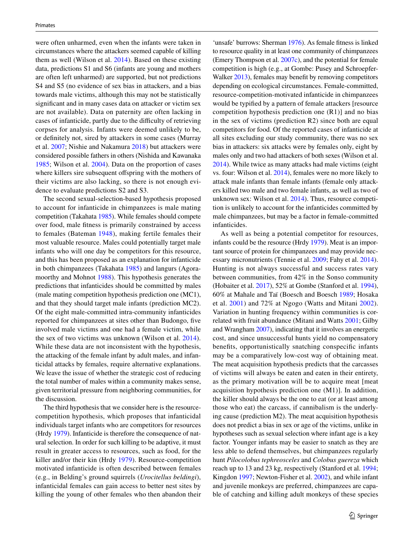were often unharmed, even when the infants were taken in circumstances where the attackers seemed capable of killing them as well (Wilson et al. 2014). Based on these existing data, predictions S1 and S6 (infants are young and mothers are often left unharmed) are supported, but not predictions S4 and S5 (no evidence of sex bias in attackers, and a bias towards male victims, although this may not be statistically signifcant and in many cases data on attacker or victim sex are not available). Data on paternity are often lacking in cases of infanticide, partly due to the difficulty of retrieving corpses for analysis. Infants were deemed unlikely to be, or defnitely not, sired by attackers in some cases (Murray et al. 2007; Nishie and Nakamura 2018) but attackers were considered possible fathers in others (Nishida and Kawanaka 1985; Wilson et al. 2004). Data on the proportion of cases where killers sire subsequent offspring with the mothers of their victims are also lacking, so there is not enough evidence to evaluate predictions S2 and S3.

The second sexual-selection-based hypothesis proposed to account for infanticide in chimpanzees is male mating competition (Takahata 1985). While females should compete over food, male ftness is primarily constrained by access to females (Bateman 1948), making fertile females their most valuable resource. Males could potentially target male infants who will one day be competitors for this resource, and this has been proposed as an explanation for infanticide in both chimpanzees (Takahata 1985) and langurs (Agoramoorthy and Mohnot 1988). This hypothesis generates the predictions that infanticides should be committed by males (male mating competition hypothesis prediction one (MC1), and that they should target male infants (prediction MC2). Of the eight male-committed intra-community infanticides reported for chimpanzees at sites other than Budongo, fve involved male victims and one had a female victim, while the sex of two victims was unknown (Wilson et al. 2014). While these data are not inconsistent with the hypothesis, the attacking of the female infant by adult males, and infanticidal attacks by females, require alternative explanations. We leave the issue of whether the strategic cost of reducing the total number of males within a community makes sense, given territorial pressure from neighboring communities, for the discussion.

The third hypothesis that we consider here is the resourcecompetition hypothesis, which proposes that infanticidal individuals target infants who are competitors for resources (Hrdy 1979). Infanticide is therefore the consequence of natural selection. In order for such killing to be adaptive, it must result in greater access to resources, such as food, for the killer and/or their kin (Hrdy 1979). Resource-competition motivated infanticide is often described between females (e.g., in Belding's ground squirrels (*Urocitellus beldingi*), infanticidal females can gain access to better nest sites by killing the young of other females who then abandon their

'unsafe' burrows: Sherman 1976). As female fitness is linked to resource quality in at least one community of chimpanzees (Emery Thompson et al. 2007c), and the potential for female competition is high (e.g., at Gombe: Pusey and Schroepfer-Walker 2013), females may beneft by removing competitors depending on ecological circumstances. Female-committed, resource-competition-motivated infanticide in chimpanzees would be typifed by a pattern of female attackers [resource competition hypothesis prediction one (R1)] and no bias in the sex of victims (prediction R2) since both are equal competitors for food. Of the reported cases of infanticide at all sites excluding our study community, there was no sex bias in attackers: six attacks were by females only, eight by males only and two had attackers of both sexes (Wilson et al. 2014). While twice as many attacks had male victims (eight vs. four: Wilson et al. 2014), females were no more likely to attack male infants than female infants (female only attackers killed two male and two female infants, as well as two of unknown sex: Wilson et al. 2014). Thus, resource competition is unlikely to account for the infanticides committed by male chimpanzees, but may be a factor in female-committed infanticides.

As well as being a potential competitor for resources, infants could be the resource (Hrdy 1979). Meat is an important source of protein for chimpanzees and may provide necessary micronutrients (Tennie et al. 2009; Fahy et al. 2014). Hunting is not always successful and success rates vary between communities, from 42% in the Sonso community (Hobaiter et al. 2017), 52% at Gombe (Stanford et al. 1994), 60% at Mahale and Taï (Boesch and Boesch 1989; Hosaka et al. 2001) and 72% at Ngogo (Watts and Mitani 2002). Variation in hunting frequency within communities is correlated with fruit abundance (Mitani and Watts 2001; Gilby and Wrangham 2007), indicating that it involves an energetic cost, and since unsuccessful hunts yield no compensatory benefts, opportunistically snatching conspecifc infants may be a comparatively low-cost way of obtaining meat. The meat acquisition hypothesis predicts that the carcasses of victims will always be eaten and eaten in their entirety, as the primary motivation will be to acquire meat [meat acquisition hypothesis prediction one (M1)]. In addition, the killer should always be the one to eat (or at least among those who eat) the carcass, if cannibalism is the underlying cause (prediction M2). The meat acquisition hypothesis does not predict a bias in sex or age of the victims, unlike in hypotheses such as sexual selection where infant age is a key factor. Younger infants may be easier to snatch as they are less able to defend themselves, but chimpanzees regularly hunt *Pilocolobus tephreosceles* and *Colobus guereza* which reach up to 13 and 23 kg, respectively (Stanford et al. 1994; Kingdon 1997; Newton-Fisher et al. 2002), and while infant and juvenile monkeys are preferred, chimpanzees are capable of catching and killing adult monkeys of these species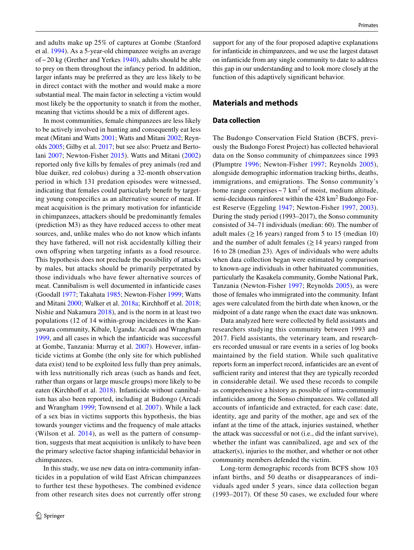and adults make up 25% of captures at Gombe (Stanford et al. 1994). As a 5-year-old chimpanzee weighs an average of  $\sim$  20 kg (Grether and Yerkes 1940), adults should be able to prey on them throughout the infancy period. In addition, larger infants may be preferred as they are less likely to be in direct contact with the mother and would make a more substantial meal. The main factor in selecting a victim would most likely be the opportunity to snatch it from the mother, meaning that victims should be a mix of diferent ages.

In most communities, female chimpanzees are less likely to be actively involved in hunting and consequently eat less meat (Mitani and Watts 2001; Watts and Mitani 2002; Reynolds 2005; Gilby et al. 2017; but see also: Pruetz and Bertolani 2007; Newton-Fisher 2015). Watts and Mitani (2002) reported only fve kills by females of prey animals (red and blue duiker, red colobus) during a 32-month observation period in which 131 predation episodes were witnessed, indicating that females could particularly beneft by targeting young conspecifcs as an alternative source of meat. If meat acquisition is the primary motivation for infanticide in chimpanzees, attackers should be predominantly females (prediction M3) as they have reduced access to other meat sources, and, unlike males who do not know which infants they have fathered, will not risk accidentally killing their own ofspring when targeting infants as a food resource. This hypothesis does not preclude the possibility of attacks by males, but attacks should be primarily perpetrated by those individuals who have fewer alternative sources of meat. Cannibalism is well documented in infanticide cases (Goodall 1977; Takahata 1985; Newton-Fisher 1999; Watts and Mitani 2000; Walker et al. 2018a; Kirchhoff et al. 2018; Nishie and Nakamura 2018), and is the norm in at least two populations (12 of 14 within-group incidences in the Kanyawara community, Kibale, Uganda: Arcadi and Wrangham 1999, and all cases in which the infanticide was successful at Gombe, Tanzania: Murray et al. 2007). However, infanticide victims at Gombe (the only site for which published data exist) tend to be exploited less fully than prey animals, with less nutritionally rich areas (such as hands and feet, rather than organs or large muscle groups) more likely to be eaten (Kirchhoff et al. 2018). Infanticide without cannibalism has also been reported, including at Budongo (Arcadi and Wrangham 1999; Townsend et al. 2007). While a lack of a sex bias in victims supports this hypothesis, the bias towards younger victims and the frequency of male attacks (Wilson et al. 2014), as well as the pattern of consumption, suggests that meat acquisition is unlikely to have been the primary selective factor shaping infanticidal behavior in chimpanzees.

In this study, we use new data on intra-community infanticides in a population of wild East African chimpanzees to further test these hypotheses. The combined evidence from other research sites does not currently offer strong

support for any of the four proposed adaptive explanations for infanticide in chimpanzees, and we use the largest dataset on infanticide from any single community to date to address this gap in our understanding and to look more closely at the function of this adaptively signifcant behavior.

## **Materials and methods**

#### **Data collection**

The Budongo Conservation Field Station (BCFS, previously the Budongo Forest Project) has collected behavioral data on the Sonso community of chimpanzees since 1993 (Plumptre 1996; Newton-Fisher 1997; Reynolds 2005), alongside demographic information tracking births, deaths, immigrations, and emigrations. The Sonso community's home range comprises  $\sim$  7 km<sup>2</sup> of moist, medium altitude, semi-deciduous rainforest within the  $428 \text{ km}^2$  Budongo Forest Reserve (Eggeling 1947; Newton-Fisher 1997, 2003). During the study period (1993–2017), the Sonso community consisted of 34–71 individuals (median: 60). The number of adult males ( $\geq 16$  years) ranged from 5 to 15 (median 10) and the number of adult females  $(≥14 \text{ years})$  ranged from 16 to 28 (median 23). Ages of individuals who were adults when data collection began were estimated by comparison to known-age individuals in other habituated communities, particularly the Kasakela community, Gombe National Park, Tanzania (Newton-Fisher 1997; Reynolds 2005), as were those of females who immigrated into the community. Infant ages were calculated from the birth date when known, or the midpoint of a date range when the exact date was unknown.

Data analyzed here were collected by feld assistants and researchers studying this community between 1993 and 2017. Field assistants, the veterinary team, and researchers recorded unusual or rare events in a series of log books maintained by the field station. While such qualitative reports form an imperfect record, infanticides are an event of sufficient rarity and interest that they are typically recorded in considerable detail. We used these records to compile as comprehensive a history as possible of intra-community infanticides among the Sonso chimpanzees. We collated all accounts of infanticide and extracted, for each case: date, identity, age and parity of the mother, age and sex of the infant at the time of the attack, injuries sustained, whether the attack was successful or not (i.e., did the infant survive), whether the infant was cannibalized, age and sex of the attacker(s), injuries to the mother, and whether or not other community members defended the victim.

Long-term demographic records from BCFS show 103 infant births, and 50 deaths or disappearances of individuals aged under 5 years, since data collection began (1993–2017). Of these 50 cases, we excluded four where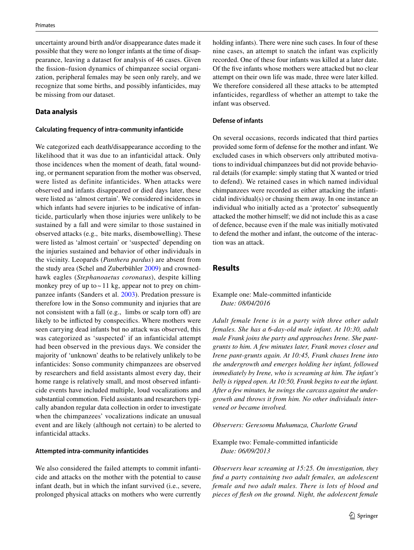uncertainty around birth and/or disappearance dates made it possible that they were no longer infants at the time of disappearance, leaving a dataset for analysis of 46 cases. Given the fssion–fusion dynamics of chimpanzee social organization, peripheral females may be seen only rarely, and we recognize that some births, and possibly infanticides, may be missing from our dataset.

#### **Data analysis**

#### **Calculating frequency of intra‑community infanticide**

We categorized each death/disappearance according to the likelihood that it was due to an infanticidal attack. Only those incidences when the moment of death, fatal wounding, or permanent separation from the mother was observed, were listed as definite infanticides. When attacks were observed and infants disappeared or died days later, these were listed as 'almost certain'. We considered incidences in which infants had severe injuries to be indicative of infanticide, particularly when those injuries were unlikely to be sustained by a fall and were similar to those sustained in observed attacks (e.g., bite marks, disembowelling). These were listed as 'almost certain' or 'suspected' depending on the injuries sustained and behavior of other individuals in the vicinity. Leopards (*Panthera pardus*) are absent from the study area (Schel and Zuberbühler 2009) and crownedhawk eagles (*Stephanoaetus coronatus*), despite killing monkey prey of up to  $\sim$  11 kg, appear not to prey on chimpanzee infants (Sanders et al. 2003). Predation pressure is therefore low in the Sonso community and injuries that are not consistent with a fall (e.g., limbs or scalp torn off) are likely to be inficted by conspecifcs. Where mothers were seen carrying dead infants but no attack was observed, this was categorized as 'suspected' if an infanticidal attempt had been observed in the previous days. We consider the majority of 'unknown' deaths to be relatively unlikely to be infanticides: Sonso community chimpanzees are observed by researchers and feld assistants almost every day, their home range is relatively small, and most observed infanticide events have included multiple, loud vocalizations and substantial commotion. Field assistants and researchers typically abandon regular data collection in order to investigate when the chimpanzees' vocalizations indicate an unusual event and are likely (although not certain) to be alerted to infanticidal attacks.

#### **Attempted intra‑community infanticides**

We also considered the failed attempts to commit infanticide and attacks on the mother with the potential to cause infant death, but in which the infant survived (i.e., severe, prolonged physical attacks on mothers who were currently holding infants). There were nine such cases. In four of these nine cases, an attempt to snatch the infant was explicitly recorded. One of these four infants was killed at a later date. Of the fve infants whose mothers were attacked but no clear attempt on their own life was made, three were later killed. We therefore considered all these attacks to be attempted infanticides, regardless of whether an attempt to take the infant was observed.

#### **Defense of infants**

On several occasions, records indicated that third parties provided some form of defense for the mother and infant. We excluded cases in which observers only attributed motivations to individual chimpanzees but did not provide behavioral details (for example: simply stating that X wanted or tried to defend). We retained cases in which named individual chimpanzees were recorded as either attacking the infanticidal individual(s) or chasing them away. In one instance an individual who initially acted as a 'protector' subsequently attacked the mother himself; we did not include this as a case of defence, because even if the male was initially motivated to defend the mother and infant, the outcome of the interaction was an attack.

## **Results**

#### Example one: Male-committed infanticide *Date: 08/04/2016*

*Adult female Irene is in a party with three other adult females. She has a 6*-*day-old male infant. At 10:30, adult male Frank joins the party and approaches Irene. She pantgrunts to him. A few minutes later, Frank moves closer and Irene pant-grunts again. At 10:45, Frank chases Irene into the undergrowth and emerges holding her infant, followed immediately by Irene, who is screaming at him. The infant's belly is ripped open. At 10:50, Frank begins to eat the infant. After a few minutes, he swings the carcass against the undergrowth and throws it from him. No other individuals intervened or became involved.*

*Observers: Geresomu Muhumuza, Charlotte Grund*

Example two: Female-committed infanticide *Date: 06/09/2013*

*Observers hear screaming at 15:25. On investigation, they fnd a party containing two adult females, an adolescent female and two adult males. There is lots of blood and pieces of fesh on the ground. Night, the adolescent female*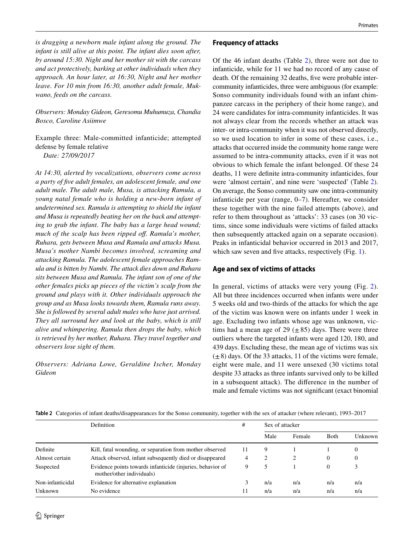*is dragging a newborn male infant along the ground. The infant is still alive at this point. The infant dies soon after, by around 15:30. Night and her mother sit with the carcass and act protectively, barking at other individuals when they approach. An hour later, at 16:30, Night and her mother leave. For 10 min from 16:30, another adult female, Mukwano, feeds on the carcass.*

*Observers: Monday Gideon, Geresomu Muhumuza, Chandia Bosco, Caroline Asiimwe*

Example three: Male-committed infanticide; attempted defense by female relative *Date: 27/09/2017*

*At 14:30, alerted by vocalizations, observers come across a party of fve adult females, an adolescent female, and one adult male. The adult male, Musa, is attacking Ramula, a young natal female who is holding a new*-*born infant of undetermined sex. Ramula is attempting to shield the infant and Musa is repeatedly beating her on the back and attempting to grab the infant. The baby has a large head wound; much of the scalp has been ripped of. Ramula's mother, Ruhara, gets between Musa and Ramula and attacks Musa. Musa's mother Nambi becomes involved, screaming and attacking Ramula. The adolescent female approaches Ramula and is bitten by Nambi. The attack dies down and Ruhara sits between Musa and Ramula. The infant son of one of the other females picks up pieces of the victim's scalp from the ground and plays with it. Other individuals approach the group and as Musa looks towards them, Ramula runs away. She is followed by several adult males who have just arrived. They all surround her and look at the baby, which is still alive and whimpering. Ramula then drops the baby, which is retrieved by her mother, Ruhara. They travel together and observers lose sight of them.*

*Observers: Adriana Lowe, Geraldine Ischer, Monday Gideon*

## **Frequency of attacks**

Of the 46 infant deaths (Table 2), three were not due to infanticide, while for 11 we had no record of any cause of death. Of the remaining 32 deaths, five were probable intercommunity infanticides, three were ambiguous (for example: Sonso community individuals found with an infant chimpanzee carcass in the periphery of their home range), and 24 were candidates for intra-community infanticides. It was not always clear from the records whether an attack was inter- or intra-community when it was not observed directly, so we used location to infer in some of these cases, i.e., attacks that occurred inside the community home range were assumed to be intra-community attacks, even if it was not obvious to which female the infant belonged. Of these 24 deaths, 11 were defnite intra-community infanticides, four were 'almost certain', and nine were 'suspected' (Table 2). On average, the Sonso community saw one intra-community infanticide per year (range, 0–7). Hereafter, we consider these together with the nine failed attempts (above), and refer to them throughout as 'attacks': 33 cases (on 30 victims, since some individuals were victims of failed attacks then subsequently attacked again on a separate occasion). Peaks in infanticidal behavior occurred in 2013 and 2017, which saw seven and five attacks, respectively (Fig. 1).

# **Age and sex of victims of attacks**

In general, victims of attacks were very young (Fig. 2). All but three incidences occurred when infants were under 5 weeks old and two-thirds of the attacks for which the age of the victim was known were on infants under 1 week in age. Excluding two infants whose age was unknown, victims had a mean age of 29  $(\pm 85)$  days. There were three outliers where the targeted infants were aged 120, 180, and 439 days. Excluding these, the mean age of victims was six  $(\pm 8)$  days. Of the 33 attacks, 11 of the victims were female, eight were male, and 11 were unsexed (30 victims total despite 33 attacks as three infants survived only to be killed in a subsequent attack). The diference in the number of male and female victims was not signifcant (exact binomial

|  |  |  | Table 2 Categories of infant deaths/disappearances for the Sonso community, together with the sex of attacker (where relevant), 1993-2017 |  |
|--|--|--|-------------------------------------------------------------------------------------------------------------------------------------------|--|
|--|--|--|-------------------------------------------------------------------------------------------------------------------------------------------|--|

|                  | <b>Definition</b>                                                                       | #  | Sex of attacker |        |              |         |
|------------------|-----------------------------------------------------------------------------------------|----|-----------------|--------|--------------|---------|
|                  |                                                                                         |    | Male            | Female | <b>B</b> oth | Unknown |
| Definite         | Kill, fatal wounding, or separation from mother observed                                | 11 | 9               |        |              | 0       |
| Almost certain   | Attack observed, infant subsequently died or disappeared                                | 4  | 2               |        | $\theta$     | 0       |
| Suspected        | Evidence points towards infanticide (injuries, behavior of<br>mother/other individuals) | 9  | 5               |        | $\Omega$     | 3       |
| Non-infanticidal | Evidence for alternative explanation                                                    |    | n/a             | n/a    | n/a          | n/a     |
| Unknown          | No evidence                                                                             | 11 | n/a             | n/a    | n/a          | n/a     |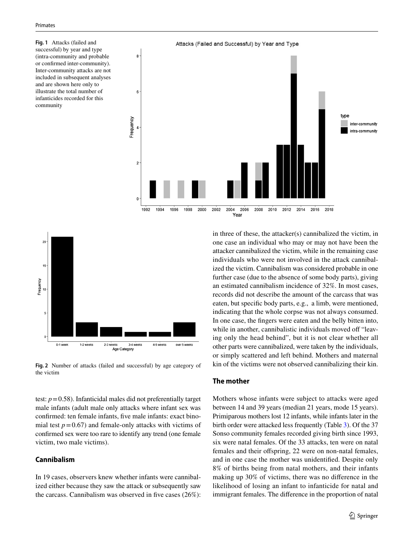**Fig. 1** Attacks (failed and successful) by year and type (intra-community and probable or confrmed inter-community). Inter-community attacks are not included in subsequent analyses and are shown here only to illustrate the total number of infanticides recorded for this community





**Fig. 2** Number of attacks (failed and successful) by age category of the victim

test:  $p = 0.58$ ). Infanticidal males did not preferentially target male infants (adult male only attacks where infant sex was confrmed: ten female infants, fve male infants: exact binomial test  $p = 0.67$ ) and female-only attacks with victims of confrmed sex were too rare to identify any trend (one female victim, two male victims).

## **Cannibalism**

In 19 cases, observers knew whether infants were cannibalized either because they saw the attack or subsequently saw the carcass. Cannibalism was observed in five cases  $(26\%)$ : in three of these, the attacker(s) cannibalized the victim, in one case an individual who may or may not have been the attacker cannibalized the victim, while in the remaining case individuals who were not involved in the attack cannibalized the victim. Cannibalism was considered probable in one further case (due to the absence of some body parts), giving an estimated cannibalism incidence of 32%. In most cases, records did not describe the amount of the carcass that was eaten, but specifc body parts, e.g., a limb, were mentioned, indicating that the whole corpse was not always consumed. In one case, the fngers were eaten and the belly bitten into, while in another, cannibalistic individuals moved off "leaving only the head behind", but it is not clear whether all other parts were cannibalized, were taken by the individuals, or simply scattered and left behind. Mothers and maternal kin of the victims were not observed cannibalizing their kin.

#### **The mother**

Mothers whose infants were subject to attacks were aged between 14 and 39 years (median 21 years, mode 15 years). Primiparous mothers lost 12 infants, while infants later in the birth order were attacked less frequently (Table 3). Of the 37 Sonso community females recorded giving birth since 1993, six were natal females. Of the 33 attacks, ten were on natal females and their offspring, 22 were on non-natal females, and in one case the mother was unidentifed. Despite only 8% of births being from natal mothers, and their infants making up 30% of victims, there was no diference in the likelihood of losing an infant to infanticide for natal and immigrant females. The diference in the proportion of natal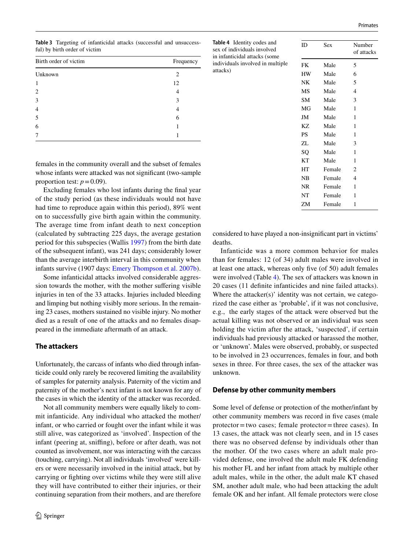**Table 3** Targeting of infanticidal attacks (successful and unsuccessful) by birth order of victim

| Birth order of victim | Frequency |  |  |
|-----------------------|-----------|--|--|
| Unknown               | 2         |  |  |
| 1                     | 12        |  |  |
| $\overline{2}$        | 4         |  |  |
| 3                     | 3         |  |  |
| $\overline{4}$        | 4         |  |  |
| 5                     | 6         |  |  |
| 6                     |           |  |  |
| 7                     |           |  |  |
|                       |           |  |  |

females in the community overall and the subset of females whose infants were attacked was not significant (two-sample proportion test:  $p = 0.09$ ).

Excluding females who lost infants during the fnal year of the study period (as these individuals would not have had time to reproduce again within this period), 89% went on to successfully give birth again within the community. The average time from infant death to next conception (calculated by subtracting 225 days, the average gestation period for this subspecies (Wallis 1997) from the birth date of the subsequent infant), was 241 days; considerably lower than the average interbirth interval in this community when infants survive (1907 days: Emery Thompson et al. 2007b).

Some infanticidal attacks involved considerable aggression towards the mother, with the mother suffering visible injuries in ten of the 33 attacks. Injuries included bleeding and limping but nothing visibly more serious. In the remaining 23 cases, mothers sustained no visible injury. No mother died as a result of one of the attacks and no females disappeared in the immediate aftermath of an attack.

#### **The attackers**

Unfortunately, the carcass of infants who died through infanticide could only rarely be recovered limiting the availability of samples for paternity analysis. Paternity of the victim and paternity of the mother's next infant is not known for any of the cases in which the identity of the attacker was recorded.

Not all community members were equally likely to commit infanticide. Any individual who attacked the mother/ infant, or who carried or fought over the infant while it was still alive, was categorized as 'involved'. Inspection of the infant (peering at, sniffing), before or after death, was not counted as involvement, nor was interacting with the carcass (touching, carrying). Not all individuals 'involved' were killers or were necessarily involved in the initial attack, but by carrying or fghting over victims while they were still alive they will have contributed to either their injuries, or their continuing separation from their mothers, and are therefore

| Table 4 Identity codes and<br>sex of individuals involved<br>in infanticidal attacks (some<br>individuals involved in multiple | ID        | <b>Sex</b> | Number<br>of attacks |
|--------------------------------------------------------------------------------------------------------------------------------|-----------|------------|----------------------|
|                                                                                                                                | FK        | Male       | 5                    |
| attacks)                                                                                                                       | HW        | Male       | 6                    |
|                                                                                                                                | NΚ        | Male       | 5                    |
|                                                                                                                                | MS        | Male       | 4                    |
|                                                                                                                                | <b>SM</b> | Male       | 3                    |
|                                                                                                                                | MG        | Male       | 1                    |
|                                                                                                                                | JM        | Male       | 1                    |
|                                                                                                                                | KZ        | Male       | 1                    |
|                                                                                                                                | PS        | Male       | 1                    |
|                                                                                                                                | ZL        | Male       | 3                    |
|                                                                                                                                | SQ        | Male       | 1                    |
|                                                                                                                                | КT        | Male       | 1                    |
|                                                                                                                                | HТ        | Female     | 2                    |
|                                                                                                                                | NB        | Female     | 4                    |
|                                                                                                                                | NR        | Female     | 1                    |
|                                                                                                                                | NT        | Female     | 1                    |
|                                                                                                                                | ZM        | Female     | 1                    |

considered to have played a non-insignifcant part in victims' deaths.

Infanticide was a more common behavior for males than for females: 12 (of 34) adult males were involved in at least one attack, whereas only fve (of 50) adult females were involved (Table 4). The sex of attackers was known in 20 cases (11 defnite infanticides and nine failed attacks). Where the attacker(s)' identity was not certain, we categorized the case either as 'probable', if it was not conclusive, e.g., the early stages of the attack were observed but the actual killing was not observed or an individual was seen holding the victim after the attack, 'suspected', if certain individuals had previously attacked or harassed the mother, or 'unknown'. Males were observed, probably, or suspected to be involved in 23 occurrences, females in four, and both sexes in three. For three cases, the sex of the attacker was unknown.

#### **Defense by other community members**

Some level of defense or protection of the mother/infant by other community members was record in fve cases (male  $protector = two cases; female protector = three cases)$ . In 13 cases, the attack was not clearly seen, and in 15 cases there was no observed defense by individuals other than the mother. Of the two cases where an adult male provided defense, one involved the adult male FK defending his mother FL and her infant from attack by multiple other adult males, while in the other, the adult male KT chased SM, another adult male, who had been attacking the adult female OK and her infant. All female protectors were close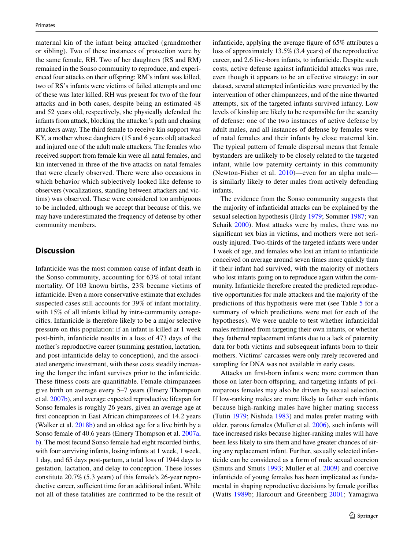maternal kin of the infant being attacked (grandmother or sibling). Two of these instances of protection were by the same female, RH. Two of her daughters (RS and RM) remained in the Sonso community to reproduce, and experienced four attacks on their offspring: RM's infant was killed, two of RS's infants were victims of failed attempts and one of these was later killed. RH was present for two of the four attacks and in both cases, despite being an estimated 48 and 52 years old, respectively, she physically defended the infants from attack, blocking the attacker's path and chasing attackers away. The third female to receive kin support was KY, a mother whose daughters (15 and 6 years old) attacked and injured one of the adult male attackers. The females who received support from female kin were all natal females, and kin intervened in three of the fve attacks on natal females that were clearly observed. There were also occasions in which behavior which subjectively looked like defense to observers (vocalizations, standing between attackers and victims) was observed. These were considered too ambiguous to be included, although we accept that because of this, we may have underestimated the frequency of defense by other community members.

## **Discussion**

Infanticide was the most common cause of infant death in the Sonso community, accounting for 63% of total infant mortality. Of 103 known births, 23% became victims of infanticide. Even a more conservative estimate that excludes suspected cases still accounts for 39% of infant mortality, with 15% of all infants killed by intra-community conspecifcs. Infanticide is therefore likely to be a major selective pressure on this population: if an infant is killed at 1 week post-birth, infanticide results in a loss of 473 days of the mother's reproductive career (summing gestation, lactation, and post-infanticide delay to conception), and the associated energetic investment, with these costs steadily increasing the longer the infant survives prior to the infanticide. These ftness costs are quantifable. Female chimpanzees give birth on average every 5–7 years (Emery Thompson et al. 2007b), and average expected reproductive lifespan for Sonso females is roughly 26 years, given an average age at frst conception in East African chimpanzees of 14.2 years (Walker et al. 2018b) and an oldest age for a live birth by a Sonso female of 40.6 years (Emery Thompson et al. 2007a, b). The most fecund Sonso female had eight recorded births, with four surviving infants, losing infants at 1 week, 1 week, 1 day, and 65 days post-partum, a total loss of 1944 days to gestation, lactation, and delay to conception. These losses constitute 20.7% (5.3 years) of this female's 26-year reproductive career, sufficient time for an additional infant. While not all of these fatalities are confrmed to be the result of infanticide, applying the average fgure of 65% attributes a loss of approximately 13.5% (3.4 years) of the reproductive career, and 2.6 live-born infants, to infanticide. Despite such costs, active defense against infanticidal attacks was rare, even though it appears to be an efective strategy: in our dataset, several attempted infanticides were prevented by the intervention of other chimpanzees, and of the nine thwarted attempts, six of the targeted infants survived infancy. Low levels of kinship are likely to be responsible for the scarcity of defense: one of the two instances of active defense by adult males, and all instances of defense by females were of natal females and their infants by close maternal kin. The typical pattern of female dispersal means that female bystanders are unlikely to be closely related to the targeted infant, while low paternity certainty in this community (Newton-Fisher et al. 2010)—even for an alpha male is similarly likely to deter males from actively defending infants.

The evidence from the Sonso community suggests that the majority of infanticidal attacks can be explained by the sexual selection hypothesis (Hrdy 1979; Sommer 1987; van Schaik 2000). Most attacks were by males, there was no signifcant sex bias in victims, and mothers were not seriously injured. Two-thirds of the targeted infants were under 1 week of age, and females who lost an infant to infanticide conceived on average around seven times more quickly than if their infant had survived, with the majority of mothers who lost infants going on to reproduce again within the community. Infanticide therefore created the predicted reproductive opportunities for male attackers and the majority of the predictions of this hypothesis were met (see Table 5 for a summary of which predictions were met for each of the hypotheses). We were unable to test whether infanticidal males refrained from targeting their own infants, or whether they fathered replacement infants due to a lack of paternity data for both victims and subsequent infants born to their mothers. Victims' carcasses were only rarely recovered and sampling for DNA was not available in early cases.

Attacks on frst-born infants were more common than those on later-born ofspring, and targeting infants of primiparous females may also be driven by sexual selection. If low-ranking males are more likely to father such infants because high-ranking males have higher mating success (Tutin 1979; Nishida 1983) and males prefer mating with older, parous females (Muller et al. 2006), such infants will face increased risks because higher-ranking males will have been less likely to sire them and have greater chances of siring any replacement infant. Further, sexually selected infanticide can be considered as a form of male sexual coercion (Smuts and Smuts 1993; Muller et al. 2009) and coercive infanticide of young females has been implicated as fundamental in shaping reproductive decisions by female gorillas (Watts 1989b; Harcourt and Greenberg 2001; Yamagiwa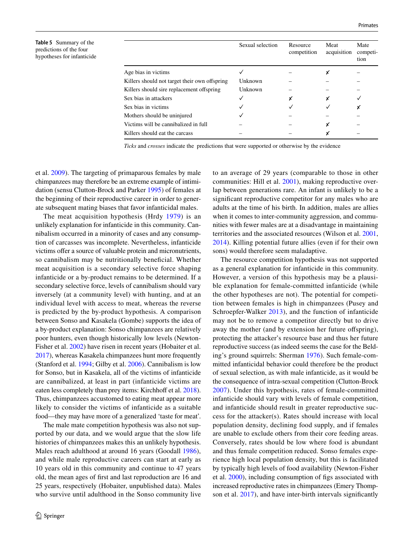**Table 5** Summary of the predictions of the four hypotheses for infanticide

|                                               | Sexual selection | Resource<br>competition | Meat<br>acquisition | Mate<br>competi-<br>tion |
|-----------------------------------------------|------------------|-------------------------|---------------------|--------------------------|
| Age bias in victims                           |                  |                         |                     |                          |
| Killers should not target their own offspring | Unknown          |                         |                     |                          |
| Killers should sire replacement offspring     | Unknown          |                         |                     |                          |
| Sex bias in attackers                         |                  | χ                       |                     |                          |
| Sex bias in victims                           |                  |                         |                     | х                        |
| Mothers should be uninjured                   |                  |                         |                     |                          |
| Victims will be cannibalized in full          |                  |                         | χ                   |                          |
| Killers should eat the carcass                |                  |                         |                     |                          |

*Ticks* and *crosses* indicate the predictions that were supported or otherwise by the evidence

et al. 2009). The targeting of primaparous females by male chimpanzees may therefore be an extreme example of intimidation (sensu Clutton-Brock and Parker 1995) of females at the beginning of their reproductive career in order to generate subsequent mating biases that favor infanticidal males.

The meat acquisition hypothesis (Hrdy 1979) is an unlikely explanation for infanticide in this community. Cannibalism occurred in a minority of cases and any consumption of carcasses was incomplete. Nevertheless, infanticide victims offer a source of valuable protein and micronutrients, so cannibalism may be nutritionally benefcial. Whether meat acquisition is a secondary selective force shaping infanticide or a by-product remains to be determined. If a secondary selective force, levels of cannibalism should vary inversely (at a community level) with hunting, and at an individual level with access to meat, whereas the reverse is predicted by the by-product hypothesis. A comparison between Sonso and Kasakela (Gombe) supports the idea of a by-product explanation: Sonso chimpanzees are relatively poor hunters, even though historically low levels (Newton-Fisher et al. 2002) have risen in recent years (Hobaiter et al. 2017), whereas Kasakela chimpanzees hunt more frequently (Stanford et al. 1994; Gilby et al. 2006). Cannibalism is low for Sonso, but in Kasakela, all of the victims of infanticide are cannibalized, at least in part (infanticide victims are eaten less completely than prey items: Kirchhoff et al. 2018). Thus, chimpanzees accustomed to eating meat appear more likely to consider the victims of infanticide as a suitable food—they may have more of a generalized 'taste for meat'.

The male mate competition hypothesis was also not supported by our data, and we would argue that the slow life histories of chimpanzees makes this an unlikely hypothesis. Males reach adulthood at around 16 years (Goodall 1986), and while male reproductive careers can start at early as 10 years old in this community and continue to 47 years old, the mean ages of frst and last reproduction are 16 and 25 years, respectively (Hobaiter, unpublished data). Males who survive until adulthood in the Sonso community live to an average of 29 years (comparable to those in other communities: Hill et al. 2001), making reproductive overlap between generations rare. An infant is unlikely to be a signifcant reproductive competitor for any males who are adults at the time of his birth. In addition, males are allies when it comes to inter-community aggression, and communities with fewer males are at a disadvantage in maintaining territories and the associated resources (Wilson et al. 2001, 2014). Killing potential future allies (even if for their own sons) would therefore seem maladaptive.

The resource competition hypothesis was not supported as a general explanation for infanticide in this community. However, a version of this hypothesis may be a plausible explanation for female-committed infanticide (while the other hypotheses are not). The potential for competition between females is high in chimpanzees (Pusey and Schroepfer-Walker 2013), and the function of infanticide may not be to remove a competitor directly but to drive away the mother (and by extension her future offspring), protecting the attacker's resource base and thus her future reproductive success (as indeed seems the case for the Belding's ground squirrels: Sherman 1976). Such female-committed infanticidal behavior could therefore be the product of sexual selection, as with male infanticide, as it would be the consequence of intra-sexual competition (Clutton-Brock 2007). Under this hypothesis, rates of female-committed infanticide should vary with levels of female competition, and infanticide should result in greater reproductive success for the attacker(s). Rates should increase with local population density, declining food supply, and if females are unable to exclude others from their core feeding areas. Conversely, rates should be low where food is abundant and thus female competition reduced. Sonso females experience high local population density, but this is facilitated by typically high levels of food availability (Newton-Fisher et al. 2000), including consumption of fgs associated with increased reproductive rates in chimpanzees (Emery Thompson et al. 2017), and have inter-birth intervals signifcantly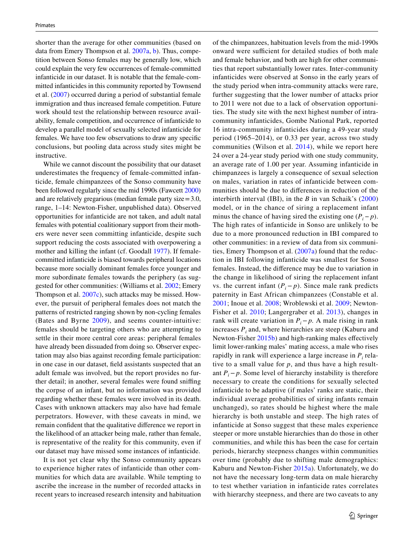shorter than the average for other communities (based on data from Emery Thompson et al. 2007a, b). Thus, competition between Sonso females may be generally low, which could explain the very few occurrences of female-committed infanticide in our dataset. It is notable that the female-committed infanticides in this community reported by Townsend et al. (2007) occurred during a period of substantial female immigration and thus increased female competition. Future work should test the relationship between resource availability, female competition, and occurrence of infanticide to develop a parallel model of sexually selected infanticide for females. We have too few observations to draw any specifc conclusions, but pooling data across study sites might be instructive.

While we cannot discount the possibility that our dataset underestimates the frequency of female-committed infanticide, female chimpanzees of the Sonso community have been followed regularly since the mid 1990s (Fawcett 2000) and are relatively gregarious (median female party size=3.0, range, 1–14: Newton-Fisher, unpublished data). Observed opportunities for infanticide are not taken, and adult natal females with potential coalitionary support from their mothers were never seen committing infanticide, despite such support reducing the costs associated with overpowering a mother and killing the infant (cf. Goodall 1977). If femalecommitted infanticide is biased towards peripheral locations because more socially dominant females force younger and more subordinate females towards the periphery (as suggested for other communities: (Williams et al. 2002; Emery Thompson et al. 2007c), such attacks may be missed. However, the pursuit of peripheral females does not match the patterns of restricted ranging shown by non-cycling females (Bates and Byrne 2009), and seems counter-intuitive: females should be targeting others who are attempting to settle in their more central core areas: peripheral females have already been dissuaded from doing so. Observer expectation may also bias against recording female participation: in one case in our dataset, feld assistants suspected that an adult female was involved, but the report provides no further detail; in another, several females were found snifng the corpse of an infant, but no information was provided regarding whether these females were involved in its death. Cases with unknown attackers may also have had female perpetrators. However, with these caveats in mind, we remain confdent that the qualitative diference we report in the likelihood of an attacker being male, rather than female, is representative of the reality for this community, even if our dataset may have missed some instances of infanticide.

It is not yet clear why the Sonso community appears to experience higher rates of infanticide than other communities for which data are available. While tempting to ascribe the increase in the number of recorded attacks in recent years to increased research intensity and habituation of the chimpanzees, habituation levels from the mid-1990s onward were sufficient for detailed studies of both male and female behavior, and both are high for other communities that report substantially lower rates. Inter-community infanticides were observed at Sonso in the early years of the study period when intra-community attacks were rare, further suggesting that the lower number of attacks prior to 2011 were not due to a lack of observation opportunities. The study site with the next highest number of intracommunity infanticides, Gombe National Park, reported 16 intra-community infanticides during a 49-year study period (1965–2014), or 0.33 per year, across two study communities (Wilson et al. 2014), while we report here 24 over a 24-year study period with one study community, an average rate of 1.00 per year. Assuming infanticide in chimpanzees is largely a consequence of sexual selection on males, variation in rates of infanticide between communities should be due to diferences in reduction of the interbirth interval (IBI), in the *B* in van Schaik's (2000) model, or in the chance of siring a replacement infant minus the chance of having sired the existing one  $(P_i - p)$ . The high rates of infanticide in Sonso are unlikely to be due to a more pronounced reduction in IBI compared to other communities: in a review of data from six communities, Emery Thompson et al. (2007a) found that the reduction in IBI following infanticide was smallest for Sonso females. Instead, the diference may be due to variation in the change in likelihood of siring the replacement infant vs. the current infant  $(P_i - p)$ . Since male rank predicts paternity in East African chimpanzees (Constable et al. 2001; Inoue et al. 2008; Wroblewski et al. 2009; Newton-Fisher et al. 2010; Langergraber et al. 2013), changes in rank will create variation in  $P_i$ −*p*. A male rising in rank increases  $P_i$  and, where hierarchies are steep (Kaburu and Newton-Fisher 2015b) and high-ranking males efectively limit lower-ranking males' mating access, a male who rises rapidly in rank will experience a large increase in  $P_i$  relative to a small value for *p*, and thus have a high resultant  $P_i$ −*p*. Some level of hierarchy instability is therefore necessary to create the conditions for sexually selected infanticide to be adaptive (if males' ranks are static, their individual average probabilities of siring infants remain unchanged), so rates should be highest where the male hierarchy is both unstable and steep. The high rates of infanticide at Sonso suggest that these males experience steeper or more unstable hierarchies than do those in other communities, and while this has been the case for certain periods, hierarchy steepness changes within communities over time (probably due to shifting male demographics: Kaburu and Newton-Fisher 2015a). Unfortunately, we do not have the necessary long-term data on male hierarchy to test whether variation in infanticide rates correlates with hierarchy steepness, and there are two caveats to any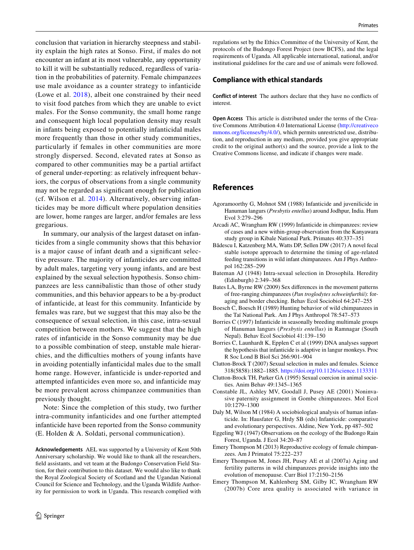conclusion that variation in hierarchy steepness and stability explain the high rates at Sonso. First, if males do not encounter an infant at its most vulnerable, any opportunity to kill it will be substantially reduced, regardless of variation in the probabilities of paternity. Female chimpanzees use male avoidance as a counter strategy to infanticide (Lowe et al. 2018), albeit one constrained by their need to visit food patches from which they are unable to evict males. For the Sonso community, the small home range and consequent high local population density may result in infants being exposed to potentially infanticidal males more frequently than those in other study communities, particularly if females in other communities are more strongly dispersed. Second, elevated rates at Sonso as compared to other communities may be a partial artifact of general under-reporting: as relatively infrequent behaviors, the corpus of observations from a single community may not be regarded as signifcant enough for publication (cf. Wilson et al. 2014). Alternatively, observing infanticides may be more difficult where population densities are lower, home ranges are larger, and/or females are less gregarious.

In summary, our analysis of the largest dataset on infanticides from a single community shows that this behavior is a major cause of infant death and a signifcant selective pressure. The majority of infanticides are committed by adult males, targeting very young infants, and are best explained by the sexual selection hypothesis. Sonso chimpanzees are less cannibalistic than those of other study communities, and this behavior appears to be a by-product of infanticide, at least for this community. Infanticide by females was rare, but we suggest that this may also be the consequence of sexual selection, in this case, intra-sexual competition between mothers. We suggest that the high rates of infanticide in the Sonso community may be due to a possible combination of steep, unstable male hierarchies, and the difficulties mothers of young infants have in avoiding potentially infanticidal males due to the small home range. However, infanticide is under-reported and attempted infanticides even more so, and infanticide may be more prevalent across chimpanzee communities than previously thought.

Note: Since the completion of this study, two further intra-community infanticides and one further attempted infanticide have been reported from the Sonso community (E. Holden & A. Soldati, personal communication).

**Acknowledgements** AEL was supported by a University of Kent 50th Anniversary scholarship. We would like to thank all the researchers, feld assistants, and vet team at the Budongo Conservation Field Station, for their contribution to this dataset. We would also like to thank the Royal Zoological Society of Scotland and the Ugandan National Council for Science and Technology, and the Uganda Wildlife Authority for permission to work in Uganda. This research complied with regulations set by the Ethics Committee of the University of Kent, the protocols of the Budongo Forest Project (now BCFS), and the legal requirements of Uganda. All applicable international, national, and/or institutional guidelines for the care and use of animals were followed.

#### **Compliance with ethical standards**

**Conflict of interest** The authors declare that they have no conficts of interest.

**Open Access** This article is distributed under the terms of the Creative Commons Attribution 4.0 International License ([http://creativeco](http://creativecommons.org/licenses/by/4.0/) [mmons.org/licenses/by/4.0/](http://creativecommons.org/licenses/by/4.0/)), which permits unrestricted use, distribution, and reproduction in any medium, provided you give appropriate credit to the original author(s) and the source, provide a link to the Creative Commons license, and indicate if changes were made.

#### **References**

- Agoramoorthy G, Mohnot SM (1988) Infanticide and juvenilicide in Hanuman langurs (*Presbytis entellus*) around Jodhpur, India. Hum Evol 3:279–296
- Arcadi AC, Wrangham RW (1999) Infanticide in chimpanzees: review of cases and a new within-group observation from the Kanyawara study group in Kibale National Park. Primates 40:337–351
- Bădescu I, Katzenberg MA, Watts DP, Sellen DW (2017) A novel fecal stable isotope approach to determine the timing of age-related feeding transitions in wild infant chimpanzees. Am J Phys Anthropol 162:285–299
- Bateman AJ (1948) Intra-sexual selection in Drosophila. Heredity (Edinburgh) 2:349–368
- Bates LA, Byrne RW (2009) Sex diferences in the movement patterns of free-ranging chimpanzees (*Pan troglodytes schweinfurthii*): foraging and border checking. Behav Ecol Sociobiol 64:247–255
- Boesch C, Boesch H (1989) Hunting behavior of wild chimpanzees in the Taï National Park. Am J Phys Anthropol 78:547–573
- Borries C (1997) Infanticide in seasonally breeding multimale groups of Hanuman langurs (*Presbytis entellus*) in Ramnagar (South Nepal). Behav Ecol Sociobiol 41:139–150
- Borries C, Launhardt K, Epplen C et al (1999) DNA analyses support the hypothesis that infanticide is adaptive in langur monkeys. Proc R Soc Lond B Biol Sci 266:901–904
- Clutton-Brock T (2007) Sexual selection in males and females. Science 318(5858):1882–1885.<https://doi.org/10.1126/science.1133311>
- Clutton-Brock TH, Parker GA (1995) Sexual coercion in animal societies. Anim Behav 49:1345–1365
- Constable JL, Ashley MV, Goodall J, Pusey AE (2001) Noninvasive paternity assignment in Gombe chimpanzees. Mol Ecol 10:1279–1300
- Daly M, Wilson M (1984) A sociobiological analysis of human infanticide. In: Hausfater G, Hrdy SB (eds) Infanticide: comparative and evolutionary perspectives. Aldine, New York, pp 487–502
- Eggeling WJ (1947) Observations on the ecology of the Budongo Rain Forest, Uganda. J Ecol 34:20–87
- Emery Thompson M (2013) Reproductive ecology of female chimpanzees. Am J Primatol 75:222–237
- Emery Thompson M, Jones JH, Pusey AE et al (2007a) Aging and fertility patterns in wild chimpanzees provide insights into the evolution of menopause. Curr Biol 17:2150–2156
- Emery Thompson M, Kahlenberg SM, Gilby IC, Wrangham RW (2007b) Core area quality is associated with variance in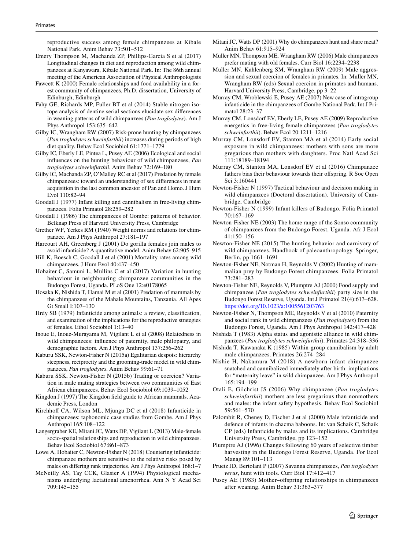reproductive success among female chimpanzees at Kibale National Park. Anim Behav 73:501–512

- Emery Thompson M, Machanda ZP, Phillips-Garcia S et al (2017) Longitudinal changes in diet and reproduction among wild chimpanzees at Kanyawara, Kibale National Park. In: The 86th annual meeting of the American Association of Physical Anthropologists
- Fawcett K (2000) Female relationships and food availability in a forest community of chimpanzees, Ph.D. dissertation, University of Edinburgh, Edinburgh
- Fahy GE, Richards MP, Fuller BT et al (2014) Stable nitrogen isotope analysis of dentine serial sections elucidate sex diferences in weaning patterns of wild chimpanzees (*Pan troglodytes*). Am J Phys Anthropol 153:635–642
- Gilby IC, Wrangham RW (2007) Risk-prone hunting by chimpanzees (*Pan troglodytes schweinfurthii*) increases during periods of high diet quality. Behav Ecol Sociobiol 61:1771–1779
- Gilby IC, Eberly LE, Pintea L, Pusey AE (2006) Ecological and social infuences on the hunting behaviour of wild chimpanzees, *Pan troglodytes schweinfurthii*. Anim Behav 72:169–180
- Gilby IC, Machanda ZP, O'Malley RC et al (2017) Predation by female chimpanzees: toward an understanding of sex diferences in meat acquisition in the last common ancestor of Pan and Homo. J Hum Evol 110:82–94
- Goodall J (1977) Infant killing and cannibalism in free-living chimpanzees. Folia Primatol 28:259–282
- Goodall J (1986) The chimpanzees of Gombe: patterns of behavior. Belknap Press of Harvard University Press, Cambridge
- Grether WF, Yerkes RM (1940) Weight norms and relations for chimpanzee. Am J Phys Anthropol 27:181–197
- Harcourt AH, Greenberg J (2001) Do gorilla females join males to avoid infanticide? A quantitative model. Anim Behav 62:905–915
- Hill K, Boesch C, Goodall J et al (2001) Mortality rates among wild chimpanzees. J Hum Evol 40:437–450
- Hobaiter C, Samuni L, Mullins C et al (2017) Variation in hunting behaviour in neighbouring chimpanzee communities in the Budongo Forest, Uganda. PLoS One 12:e0178065
- Hosaka K, Nishida T, Hamai M et al (2001) Predation of mammals by the chimpanzees of the Mahale Mountains, Tanzania. All Apes Gt Small I:107–130
- Hrdy SB (1979) Infanticide among animals: a review, classifcation, and examination of the implications for the reproductive strategies of females. Ethol Sociobiol 1:13–40
- Inoue E, Inoue-Murayama M, Vigilant L et al (2008) Relatedness in wild chimpanzees: infuence of paternity, male philopatry, and demographic factors. Am J Phys Anthropol 137:256–262
- Kaburu SSK, Newton-Fisher N (2015a) Egalitarian despots: hierarchy steepness, reciprocity and the grooming-trade model in wild chimpanzees, *Pan troglodytes*. Anim Behav 99:61–71
- Kaburu SSK, Newton-Fisher N (2015b) Trading or coercion? Variation in male mating strategies between two communities of East African chimpanzees. Behav Ecol Sociobiol 69:1039–1052
- Kingdon J (1997) The Kingdon feld guide to African mammals. Academic Press, London
- Kirchhoff CA, Wilson ML, Mjungu DC et al (2018) Infanticide in chimpanzees: taphonomic case studies from Gombe. Am J Phys Anthropol 165:108–122
- Langergraber KE, Mitani JC, Watts DP, Vigilant L (2013) Male-female socio-spatial relationships and reproduction in wild chimpanzees. Behav Ecol Sociobiol 67:861–873
- Lowe A, Hobaiter C, Newton-Fisher N (2018) Countering infanticide: chimpanzee mothers are sensitive to the relative risks posed by males on difering rank trajectories. Am J Phys Anthropol 168:1–7
- McNeilly AS, Tay CCK, Glasier A (1994) Physiological mechanisms underlying lactational amenorrhea. Ann N Y Acad Sci 709:145–155
- Mitani JC, Watts DP (2001) Why do chimpanzees hunt and share meat? Anim Behav 61:915–924
- Muller MN, Thompson ME, Wrangham RW (2006) Male chimpanzees prefer mating with old females. Curr Biol 16:2234–2238
- Muller MN, Kahlenberg SM, Wrangham RW (2009) Male aggression and sexual coercion of females in primates. In: Muller MN, Wrangham RW (eds) Sexual coercion in primates and humans. Harvard University Press, Cambridge, pp 3–22
- Murray CM, Wroblewski E, Pusey AE (2007) New case of intragroup infanticide in the chimpanzees of Gombe National Park. Int J Primatol 28:23–37
- Murray CM, Lonsdorf EV, Eberly LE, Pusey AE (2009) Reproductive energetics in free-living female chimpanzees (*Pan troglodytes schweinfurthii*). Behav Ecol 20:1211–1216
- Murray CM, Lonsdorf EV, Stanton MA et al (2014) Early social exposure in wild chimpanzees: mothers with sons are more gregarious than mothers with daughters. Proc Natl Acad Sci 111:18189–18194
- Murray CM, Stanton MA, Lonsdorf EV et al (2016) Chimpanzee fathers bias their behaviour towards their offspring. R Soc Open Sci 3:160441
- Newton-Fisher N (1997) Tactical behaviour and decision making in wild chimpanzees (Doctoral dissertation). University of Cambridge, Cambridge
- Newton-Fisher N (1999) Infant killers of Budongo. Folia Primatol 70:167–169
- Newton-Fisher NE (2003) The home range of the Sonso community of chimpanzees from the Budongo Forest, Uganda. Afr J Ecol 41:150–156
- Newton-Fisher NE (2015) The hunting behavior and carnivory of wild chimpanzees. Handbook of paleoanthropology. Springer, Berlin, pp 1661–1691
- Newton-Fisher NE, Notman H, Reynolds V (2002) Hunting of mammalian prey by Budongo Forest chimpanzees. Folia Primatol 73:281–283
- Newton-Fisher NE, Reynolds V, Plumptre AJ (2000) Food supply and chimpanzee (*Pan troglodytes schweinfurthii*) party size in the Budongo Forest Reserve, Uganda. Int J Primatol 21(4):613–628. <https://doi.org/10.1023/a:1005561203763>
- Newton-Fisher N, Thompson ME, Reynolds V et al (2010) Paternity and social rank in wild chimpanzees (*Pan troglodytes*) from the Budongo Forest, Uganda. Am J Phys Anthropol 142:417–428
- Nishida T (1983) Alpha status and agonistic alliance in wild chimpanzees (*Pan troglodytes schweinfurthii*). Primates 24:318–336
- Nishida T, Kawanaka K (1985) Within-group cannibalism by adult male chimpanzees. Primates 26:274–284
- Nishie H, Nakamura M (2018) A newborn infant chimpanzee snatched and cannibalized immediately after birth: implications for "maternity leave" in wild chimpanzee. Am J Phys Anthropol 165:194–199
- Otali E, Gilchrist JS (2006) Why chimpanzee (*Pan troglodytes schweinfurthii*) mothers are less gregarious than nonmothers and males: the infant safety hypothesis. Behav Ecol Sociobiol 59:561–570
- Palombit R, Cheney D, Fischer J et al (2000) Male infanticide and defence of infants in chacma baboons. In: van Schaik C, Schaik CP (eds) Infanticide by males and its implications. Cambridge University Press, Cambridge, pp 123–152
- Plumptre AJ (1996) Changes following 60 years of selective timber harvesting in the Budongo Forest Reserve, Uganda. For Ecol Manag 89:101–113
- Pruetz JD, Bertolani P (2007) Savanna chimpanzees, *Pan troglodytes verus*, hunt with tools. Curr Biol 17:412–417
- Pusey AE (1983) Mother–offspring relationships in chimpanzees after weaning. Anim Behav 31:363–377